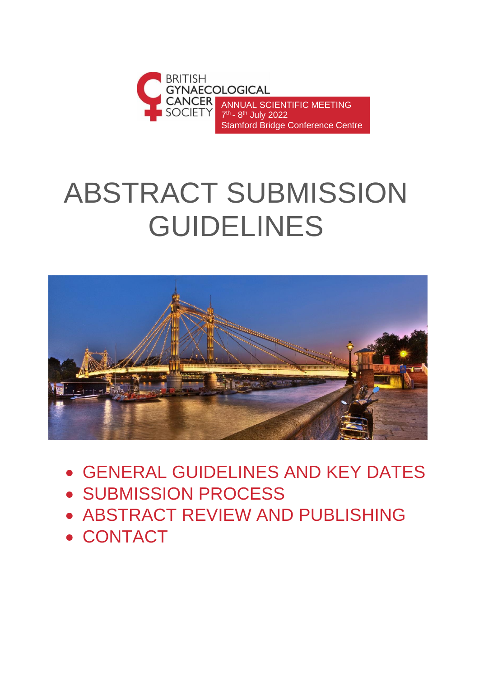

# ABSTRACT SUBMISSION GUIDELINES



- GENERAL GUIDELINES AND KEY DATES
- SUBMISSION PROCESS
- ABSTRACT REVIEW AND PUBLISHING
- CONTACT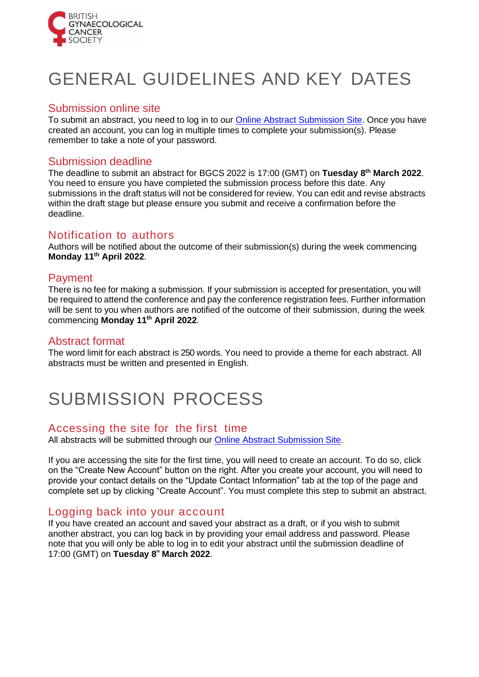

# GENERAL GUIDELINES AND KEY DATES

### Submission online site

To submit an abstract, you need to log in to our [Online Abstract Submission Site.](https://inconference.eventsair.com/bgcs-2022/bgcs-2022-abstract-portal) Once you have created an account, you can log in multiple times to complete your submission(s). Please remember to take a note of your password.

# Submission deadline

The deadline to submit an abstract for BGCS 2022 is 17:00 (GMT) on **Tuesday 8 th March 2022**. You need to ensure you have completed the submission process before this date. Any submissions in the draft status will not be considered for review. You can edit and revise abstracts within the draft stage but please ensure you submit and receive a confirmation before the deadline.

# Notification to authors

Authors will be notified about the outcome of their submission(s) during the week commencing **Monday 11th April 2022**.

## Payment

There is no fee for making a submission. If your submission is accepted for presentation, you will be required to attend the conference and pay the conference registration fees. Further information will be sent to you when authors are notified of the outcome of their submission, during the week commencing **Monday 11th April 2022**.

#### Abstract format

The word limit for each abstract is 250 words. You need to provide a theme for each abstract. All abstracts must be written and presented in English.

# SUBMISSION PROCESS

## Accessing the site for the first time

All abstracts will be submitted through our [Online Abstract Submission Site.](https://inconference.eventsair.com/bgcs-2022/bgcs-2022-abstract-portal)

If you are accessing the site for the first time, you will need to create an account. To do so, click on the "Create New Account" button on the right. After you create your account, you will need to provide your contact details on the "Update Contact Information" tab at the top of the page and complete set up by clicking "Create Account". You must complete this step to submit an abstract.

## Logging back into your account

If you have created an account and saved your abstract as a draft, or if you wish to submit another abstract, you can log back in by providing your email address and password. Please note that you will only be able to log in to edit your abstract until the submission deadline of 17:00 (GMT) on **Tuesday 8th March 2022**.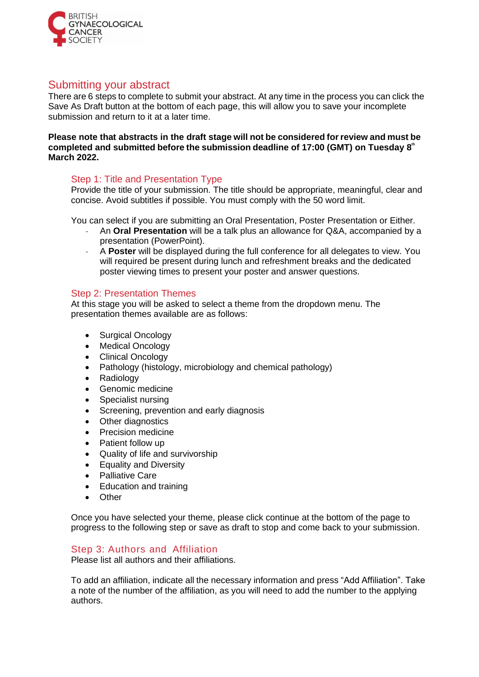

# Submitting your abstract

There are 6 steps to complete to submit your abstract. At any time in the process you can click the Save As Draft button at the bottom of each page, this will allow you to save your incomplete submission and return to it at a later time.

**Please note that abstracts in the draft stage will not be considered forreview and must be completed and submitted before the submission deadline of 17:00 (GMT) on Tuesday 8th March 2022.**

#### Step 1: Title and Presentation Type

Provide the title of your submission. The title should be appropriate, meaningful, clear and concise. Avoid subtitles if possible. You must comply with the 50 word limit.

You can select if you are submitting an Oral Presentation, Poster Presentation or Either.

- ˗ An **Oral Presentation** will be a talk plus an allowance for Q&A, accompanied by a presentation (PowerPoint).
- ˗ A **Poster** will be displayed during the full conference for all delegates to view. You will required be present during lunch and refreshment breaks and the dedicated poster viewing times to present your poster and answer questions.

#### Step 2: Presentation Themes

At this stage you will be asked to select a theme from the dropdown menu. The presentation themes available are as follows:

- Surgical Oncology
- Medical Oncology
- Clinical Oncology
- Pathology (histology, microbiology and chemical pathology)
- Radiology
- Genomic medicine
- Specialist nursing
- Screening, prevention and early diagnosis
- Other diagnostics
- Precision medicine
- Patient follow up
- Quality of life and survivorship
- Equality and Diversity
- Palliative Care
- Education and training
- Other

Once you have selected your theme, please click continue at the bottom of the page to progress to the following step or save as draft to stop and come back to your submission.

#### Step 3: Authors and Affiliation

Please list all authors and their affiliations.

To add an affiliation, indicate all the necessary information and press "Add Affiliation". Take a note of the number of the affiliation, as you will need to add the number to the applying authors.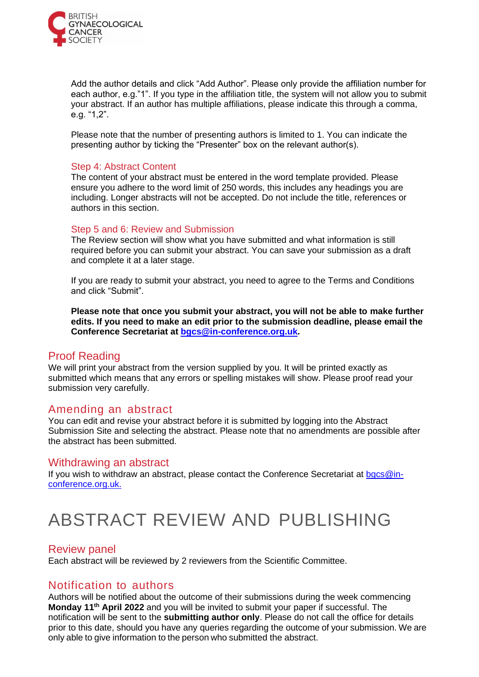

Add the author details and click "Add Author". Please only provide the affiliation number for each author, e.g."1". If you type in the affiliation title, the system will not allow you to submit your abstract. If an author has multiple affiliations, please indicate this through a comma, e.g. "1,2".

Please note that the number of presenting authors is limited to 1. You can indicate the presenting author by ticking the "Presenter" box on the relevant author(s).

#### Step 4: Abstract Content

The content of your abstract must be entered in the word template provided. Please ensure you adhere to the word limit of 250 words, this includes any headings you are including. Longer abstracts will not be accepted. Do not include the title, references or authors in this section.

#### Step 5 and 6: Review and Submission

The Review section will show what you have submitted and what information is still required before you can submit your abstract. You can save your submission as a draft and complete it at a later stage.

If you are ready to submit your abstract, you need to agree to the Terms and Conditions and click "Submit".

**Please note that once you submit your abstract, you will not be able to make further edits. If you need to make an edit prior to the submission deadline, please email the Conference Secretariat at [bgcs@in-conference.org.uk.](mailto:bgcs@in-conference.org.uk)**

#### Proof Reading

We will print your abstract from the version supplied by you. It will be printed exactly as submitted which means that any errors or spelling mistakes will show. Please proof read your submission very carefully.

#### Amending an abstract

You can edit and revise your abstract before it is submitted by logging into the Abstract Submission Site and selecting the abstract. Please note that no amendments are possible after the abstract has been submitted.

#### Withdrawing an abstract

If you wish to withdraw an abstract, please contact the Conference Secretariat at  $bqcs@in$ [conference.org.uk.](mailto:bgcs@in-conference.org.uk)

# ABSTRACT REVIEW AND PUBLISHING

#### Review panel

Each abstract will be reviewed by 2 reviewers from the Scientific Committee.

## Notification to authors

Authors will be notified about the outcome of their submissions during the week commencing **Monday 11th April 2022** and you will be invited to submit your paper if successful. The notification will be sent to the **submitting author only**. Please do not call the office for details prior to this date, should you have any queries regarding the outcome of your submission. We are only able to give information to the person who submitted the abstract.